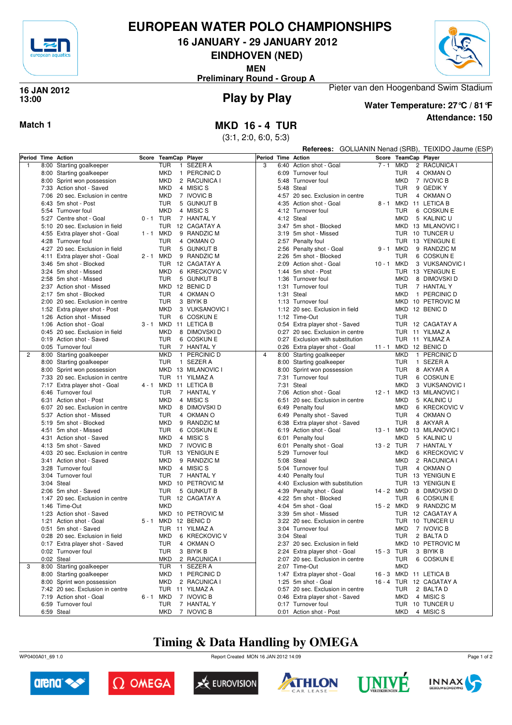

## **EUROPEAN WATER POLO CHAMPIONSHIPS**

**16 JANUARY - 29 JANUARY 2012**

**EINDHOVEN (NED)**

**MEN**

Pieter van den Hoogenband Swim Stadium **Preliminary Round - Group A**



### **Play by Play 16 JAN 2012 13:00**



**Attendance: 150 Water Temperature: 27°C / 81°F**

**Match 1 MKD 16 - 4 TUR**

(3:1, 2:0, 6:0, 5:3)

|                | Referees: GOLIJANIN Nenad (SRB), TEIXIDO Jaume (ESP) |           |                          |              |                          |                    |      |                                         |            |                          |                           |
|----------------|------------------------------------------------------|-----------|--------------------------|--------------|--------------------------|--------------------|------|-----------------------------------------|------------|--------------------------|---------------------------|
|                | Period Time Action                                   |           | Score TeamCap Player     |              |                          | Period Time Action |      |                                         |            | Score TeamCap Player     |                           |
| $\mathbf{1}$   | 8:00 Starting goalkeeper                             |           | <b>TUR</b>               | $\mathbf{1}$ | SEZER A                  | 3                  |      | 6:40 Action shot - Goal                 | $7 - 1$    | MKD                      | 2 RACUNICA I              |
|                | 8:00 Starting goalkeeper                             |           | <b>MKD</b>               |              | 1 PERCINIC D             |                    |      | 6:09 Turnover foul                      |            | TUR                      | 4 OKMAN O                 |
|                | 8:00 Sprint won possession                           |           | <b>MKD</b>               |              | 2 RACUNICA I             |                    |      | 5:48 Turnover foul                      |            | <b>MKD</b>               | 7 IVOVIC B                |
|                | 7:33 Action shot - Saved                             |           | <b>MKD</b>               |              | 4 MISIC S                |                    |      | 5:48 Steal                              |            | TUR                      | 9 GEDIK Y                 |
|                | 7:06 20 sec. Exclusion in centre                     |           | <b>MKD</b>               |              | 7 IVOVIC B               |                    |      | 4:57 20 sec. Exclusion in centre        |            | <b>TUR</b>               | 4 OKMAN O                 |
|                | 6:43 5m shot - Post                                  |           | <b>TUR</b>               |              | 5 GUNKUT B               |                    |      | 4:35 Action shot - Goal                 |            |                          | 8 - 1 MKD 11 LETICA B     |
|                | 5:54 Turnover foul                                   |           | <b>MKD</b>               |              | 4 MISIC S                |                    |      | 4:12 Turnover foul                      |            | TUR                      | 6 COSKUN E                |
|                | 5:27 Centre shot - Goal                              | 0-1 TUR   |                          |              | 7 HANTAL Y               |                    |      | 4:12 Steal                              |            | MKD                      | 5 KALINIC U               |
|                | 5:10 20 sec. Exclusion in field                      |           | <b>TUR</b>               |              | 12 CAGATAY A             |                    |      | 3:47 5m shot - Blocked                  |            |                          | MKD 13 MILANOVIC I        |
|                | 4:55 Extra player shot - Goal                        | 1 - 1 MKD |                          |              | 9 RANDZIC M              |                    |      | 3:19 5m shot - Missed                   |            |                          | TUR 10 TUNCER U           |
|                | 4:28 Turnover foul                                   |           | <b>TUR</b>               |              | 4 OKMAN O                |                    |      | 2:57 Penalty foul                       |            |                          | TUR 13 YENIGUN E          |
|                | 4:27 20 sec. Exclusion in field                      |           | <b>TUR</b>               |              | 5 GUNKUT B               |                    |      | 2:56 Penalty shot - Goal                |            | 9 - 1 MKD                | 9 RANDZIC M               |
|                | 4:11 Extra player shot - Goal                        |           | 2 - 1 MKD                |              | 9 RANDZIC M              |                    |      | 2:26 5m shot - Blocked                  |            | TUR                      | 6 COSKUN E                |
|                | 3:46 5m shot - Blocked                               |           | TUR                      |              | 12 CAGATAY A             |                    |      | 2:09 Action shot - Goal                 | 10 - 1 MKD |                          | 3 VUKSANOVIC I            |
|                | 3:24 5m shot - Missed                                |           | <b>MKD</b>               |              | 6 KRECKOVIC V            |                    |      | 1:44 5m shot - Post                     |            |                          | TUR 13 YENIGUN E          |
|                | 2:58 5m shot - Missed                                |           | <b>TUR</b>               |              | 5 GUNKUT B               |                    |      | 1:36 Turnover foul                      |            | <b>MKD</b>               | 8 DIMOVSKI D              |
|                | 2:37 Action shot - Missed                            |           |                          |              | MKD 12 BENIC D           |                    |      | 1:31 Turnover foul                      |            | TUR                      | 7 HANTAL Y                |
|                | 2:17 5m shot - Blocked                               |           | <b>TUR</b>               |              | 4 OKMAN O                |                    |      | 1:31 Steal                              |            | <b>MKD</b>               | 1 PERCINIC D              |
|                | 2:00 20 sec. Exclusion in centre                     |           | <b>TUR</b>               |              | 3 BIYIK B                |                    |      | 1:13 Turnover foul                      |            |                          | MKD 10 PETROVIC M         |
|                | 1:52 Extra player shot - Post                        |           | <b>MKD</b>               |              | 3 VUKSANOVIC I           |                    |      | 1:12 20 sec. Exclusion in field         |            |                          | MKD 12 BENIC D            |
|                | 1:26 Action shot - Missed                            |           | <b>TUR</b>               |              | 6 COSKUN E               |                    |      | 1:12 Time-Out                           |            | <b>TUR</b>               |                           |
|                | 1:06 Action shot - Goal                              |           |                          |              | 3 - 1 MKD 11 LETICA B    |                    |      | 0:54 Extra player shot - Saved          |            |                          | TUR 12 CAGATAY A          |
|                | 0:45 20 sec. Exclusion in field                      |           | <b>MKD</b>               |              | 8 DIMOVSKI D             |                    |      | 0:27 20 sec. Exclusion in centre        |            |                          | TUR 11 YILMAZ A           |
|                | 0:19 Action shot - Saved                             |           | <b>TUR</b>               |              | 6 COSKUN E               |                    |      | 0:27 Exclusion with substitution        |            |                          | TUR 11 YILMAZ A           |
|                | 0:05 Turnover foul                                   |           | <b>TUR</b>               |              | 7 HANTAL Y               |                    |      | 0:26 Extra player shot - Goal           | $11 - 1$   |                          | MKD 12 BENIC D            |
| $\overline{2}$ | 8:00 Starting goalkeeper                             |           | <b>MKD</b>               |              | 1 PERCINIC D             | 4                  |      | 8:00 Starting goalkeeper                |            | <b>MKD</b>               | 1 PERCINIC D              |
|                | 8:00 Starting goalkeeper                             |           | <b>TUR</b>               |              | 1 SEZER A                |                    |      | 8:00 Starting goalkeeper                |            | <b>TUR</b>               | 1 SEZER A                 |
|                | 8:00 Sprint won possession                           |           |                          |              | MKD 13 MILANOVIC I       |                    |      | 8:00 Sprint won possession              |            | <b>TUR</b>               | 8 AKYAR A                 |
|                | 7:33 20 sec. Exclusion in centre                     |           | <b>TUR</b>               |              | 11 YILMAZ A              |                    |      | 7:31 Turnover foul                      |            | <b>TUR</b>               | 6 COSKUN E                |
|                | 7:17 Extra player shot - Goal                        |           |                          |              | 4 - 1 MKD 11 LETICA B    |                    |      | 7:31 Steal                              |            | <b>MKD</b>               | 3 VUKSANOVIC I            |
|                | 6:46 Turnover foul                                   |           | <b>TUR</b>               |              | 7 HANTAL Y               |                    |      | 7:06 Action shot - Goal                 | $12 - 1$   |                          | MKD 13 MILANOVIC I        |
|                | 6:31 Action shot - Post                              |           | <b>MKD</b>               |              | 4 MISIC S                |                    |      | 6:51 20 sec. Exclusion in centre        |            | <b>MKD</b>               | 5 KALINIC U               |
|                | 6:07 20 sec. Exclusion in centre                     |           | <b>MKD</b>               |              | 8 DIMOVSKI D             |                    |      | 6:49 Penalty foul                       |            | MKD                      | 6 KRECKOVIC V             |
|                | 5:37 Action shot - Missed                            |           | <b>TUR</b>               |              | 4 OKMAN O                |                    |      | 6:49 Penalty shot - Saved               |            | <b>TUR</b>               | 4 OKMAN O                 |
|                | 5:19 5m shot - Blocked                               |           | <b>MKD</b>               |              | 9 RANDZIC M              |                    | 6:38 | Extra player shot - Saved               |            | TUR                      | 8 AKYAR A                 |
|                | 4:51 5m shot - Missed                                |           | <b>TUR</b>               |              | 6 COSKUN E               |                    |      | 6:19 Action shot - Goal                 |            |                          | 13 - 1 MKD 13 MILANOVIC I |
|                | 4:31 Action shot - Saved                             |           | <b>MKD</b>               |              | 4 MISIC S                |                    |      | 6:01 Penalty foul                       |            | MKD                      | 5 KALINIC U               |
|                | 4:13 5m shot - Saved                                 |           | MKD                      |              | 7 IVOVIC B               |                    | 6:01 | Penalty shot - Goal                     | 13 - 2 TUR |                          | 7 HANTAL Y                |
|                | 4:03 20 sec. Exclusion in centre                     |           | <b>TUR</b>               |              | 13 YENIGUN E             |                    | 5:29 | Turnover foul                           |            | <b>MKD</b>               | 6 KRECKOVIC V             |
|                | 3:41 Action shot - Saved                             |           | <b>MKD</b><br><b>MKD</b> |              | 9 RANDZIC M<br>4 MISIC S |                    |      | 5:08 Steal                              |            | <b>MKD</b><br><b>TUR</b> | 2 RACUNICA I<br>4 OKMAN O |
|                | 3:28 Turnover foul<br>3:04 Turnover foul             |           | <b>TUR</b>               |              | 7 HANTAL Y               |                    |      | 5:04 Turnover foul<br>4:40 Penalty foul |            |                          | TUR 13 YENIGUN E          |
|                | 3:04 Steal                                           |           |                          |              | MKD 10 PETROVIC M        |                    |      | 4:40 Exclusion with substitution        |            |                          | TUR 13 YENIGUN E          |
|                | 2:06 5m shot - Saved                                 |           | <b>TUR</b>               |              | 5 GUNKUT B               |                    |      | 4:39 Penalty shot - Goal                | 14 - 2 MKD |                          | 8 DIMOVSKI D              |
|                | 1:47 20 sec. Exclusion in centre                     |           |                          |              | TUR 12 CAGATAY A         |                    |      | 4:22 5m shot - Blocked                  |            | TUR                      | 6 COSKUN E                |
|                | 1:46 Time-Out                                        |           | <b>MKD</b>               |              |                          |                    |      | 4:04 5m shot - Goal                     | 15 - 2 MKD |                          | 9 RANDZIC M               |
|                | 1:23 Action shot - Saved                             |           |                          |              | MKD 10 PETROVIC M        |                    |      | 3:39 5m shot - Missed                   |            |                          | TUR 12 CAGATAY A          |
|                | 1:21 Action shot - Goal                              |           |                          |              | 5 - 1 MKD 12 BENIC D     |                    |      | 3:22 20 sec. Exclusion in centre        |            |                          | TUR 10 TUNCER U           |
|                | 0:51 5m shot - Saved                                 |           |                          |              | TUR 11 YILMAZ A          |                    |      | 3:04 Turnover foul                      |            | <b>MKD</b>               | 7 IVOVIC B                |
|                | 0:28 20 sec. Exclusion in field                      |           | <b>MKD</b>               |              | 6 KRECKOVIC V            |                    |      | 3:04 Steal                              |            | <b>TUR</b>               | 2 BALTA D                 |
|                | 0:17 Extra player shot - Saved                       |           | TUR                      |              | 4 OKMAN O                |                    |      | 2:37 20 sec. Exclusion in field         |            |                          | MKD 10 PETROVIC M         |
|                | 0:02 Turnover foul                                   |           | TUR                      |              | 3 BIYIK B                |                    |      | 2:24 Extra player shot - Goal           | 15 - 3 TUR |                          | 3 BIYIK B                 |
|                | 0:02 Steal                                           |           | <b>MKD</b>               |              | 2 RACUNICA I             |                    |      | 2:07 20 sec. Exclusion in centre        |            | TUR                      | 6 COSKUN E                |
| 3              | 8:00 Starting goalkeeper                             |           | <b>TUR</b>               |              | 1 SEZER A                |                    |      | 2:07 Time-Out                           |            | <b>MKD</b>               |                           |
|                | 8:00 Starting goalkeeper                             |           | <b>MKD</b>               |              | 1 PERCINIC D             |                    |      | 1:47 Extra player shot - Goal           |            |                          | 16 - 3 MKD 11 LETICA B    |
|                | 8:00 Sprint won possession                           |           | <b>MKD</b>               |              | 2 RACUNICA I             |                    |      | 1:25 5m shot - Goal                     |            |                          | 16 - 4 TUR 12 CAGATAY A   |
|                | 7:42 20 sec. Exclusion in centre                     |           |                          |              | TUR 11 YILMAZ A          |                    |      | 0:57 20 sec. Exclusion in centre        |            | <b>TUR</b>               | 2 BALTA D                 |
|                | 7:19 Action shot - Goal                              |           | 6-1 MKD                  |              | 7 IVOVIC B               |                    |      | 0:46 Extra player shot - Saved          |            | <b>MKD</b>               | 4 MISIC S                 |
|                | 6:59 Turnover foul                                   |           | TUR                      |              | 7 HANTAL Y               |                    |      | 0:17 Turnover foul                      |            |                          | TUR 10 TUNCER U           |
|                | 6:59 Steal                                           |           | MKD                      |              | 7 IVOVIC B               |                    |      | 0:01 Action shot - Post                 |            |                          | MKD 4 MISICS              |

# **Timing & Data Handling by OMEGA**

WP0400A01\_69 1.0 Report Created MON 16 JAN 2012 14:09













Page 1 of 2